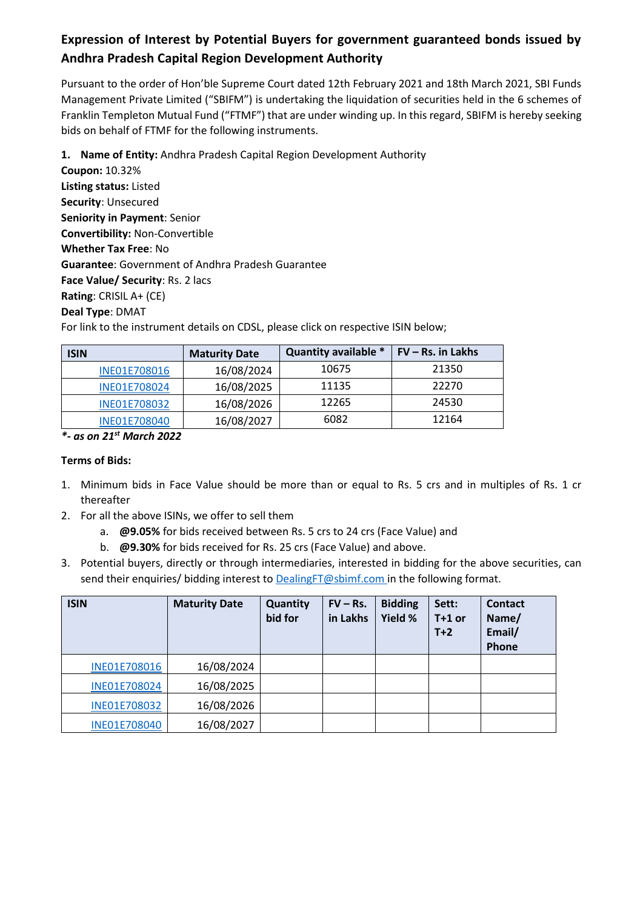# **Expression of Interest by Potential Buyers for government guaranteed bonds issued by Andhra Pradesh Capital Region Development Authority**

Pursuant to the order of Hon'ble Supreme Court dated 12th February 2021 and 18th March 2021, SBI Funds Management Private Limited ("SBIFM") is undertaking the liquidation of securities held in the 6 schemes of Franklin Templeton Mutual Fund ("FTMF") that are under winding up. In this regard, SBIFM is hereby seeking bids on behalf of FTMF for the following instruments.

**1. Name of Entity:** Andhra Pradesh Capital Region Development Authority

**Coupon:** 10.32% **Listing status:** Listed **Security**: Unsecured **Seniority in Payment**: Senior **Convertibility:** Non-Convertible **Whether Tax Free**: No **Guarantee**: Government of Andhra Pradesh Guarantee **Face Value/ Security**: Rs. 2 lacs **Rating**: CRISIL A+ (CE) **Deal Type**: DMAT

For link to the instrument details on CDSL, please click on respective ISIN below;

| <b>ISIN</b>         | <b>Maturity Date</b> |       | $FV - Rs$ , in Lakhs |  |
|---------------------|----------------------|-------|----------------------|--|
| <b>INE01E708016</b> | 16/08/2024           | 10675 | 21350                |  |
| INE01E708024        | 16/08/2025           | 11135 | 22270                |  |
| INE01E708032        | 16/08/2026           | 12265 | 24530                |  |
| INE01E708040        | 16/08/2027           | 6082  | 12164                |  |

*\*- as on 21st March 2022*

# **Terms of Bids:**

- 1. Minimum bids in Face Value should be more than or equal to Rs. 5 crs and in multiples of Rs. 1 cr thereafter
- 2. For all the above ISINs, we offer to sell them
	- a. **@9.05%** for bids received between Rs. 5 crs to 24 crs (Face Value) and
	- b. **@9.30%** for bids received for Rs. 25 crs (Face Value) and above.
- 3. Potential buyers, directly or through intermediaries, interested in bidding for the above securities, can send their enquiries/ bidding interest to **DealingFT@sbimf.com** in the following format.

| <b>ISIN</b>         | <b>Maturity Date</b> | Quantity<br>bid for | $FV - Rs.$<br>in Lakhs | <b>Bidding</b><br>Yield % | Sett:<br>$T+1$ or<br>$T+2$ | <b>Contact</b><br>Name/<br>Email/<br>Phone |
|---------------------|----------------------|---------------------|------------------------|---------------------------|----------------------------|--------------------------------------------|
| <b>INE01E708016</b> | 16/08/2024           |                     |                        |                           |                            |                                            |
| INE01E708024        | 16/08/2025           |                     |                        |                           |                            |                                            |
| INE01E708032        | 16/08/2026           |                     |                        |                           |                            |                                            |
| <b>INE01E708040</b> | 16/08/2027           |                     |                        |                           |                            |                                            |